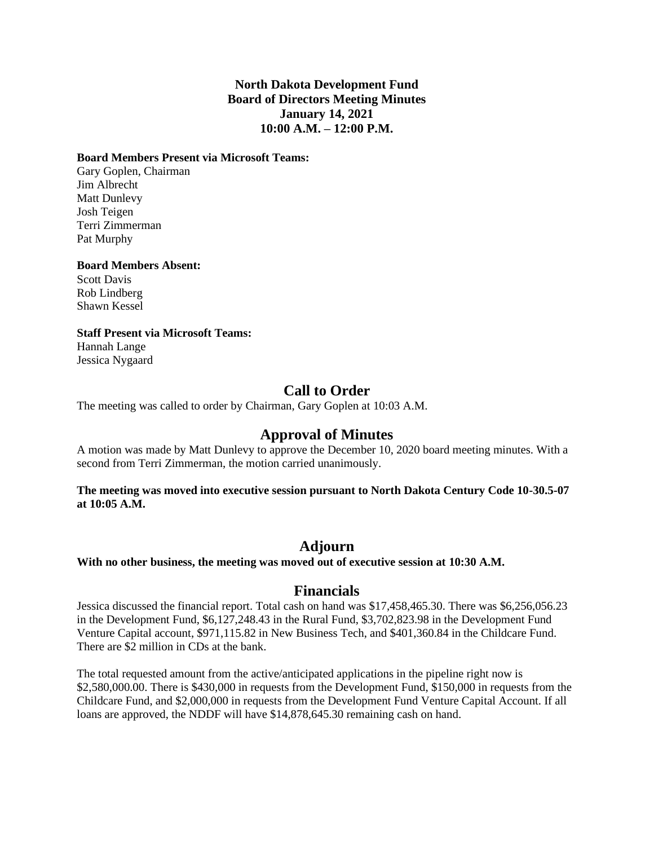### **North Dakota Development Fund Board of Directors Meeting Minutes January 14, 2021 10:00 A.M. – 12:00 P.M.**

#### **Board Members Present via Microsoft Teams:**

Gary Goplen, Chairman Jim Albrecht Matt Dunlevy Josh Teigen Terri Zimmerman Pat Murphy

#### **Board Members Absent:**

Scott Davis Rob Lindberg Shawn Kessel

#### **Staff Present via Microsoft Teams:**

Hannah Lange Jessica Nygaard

## **Call to Order**

The meeting was called to order by Chairman, Gary Goplen at 10:03 A.M.

## **Approval of Minutes**

A motion was made by Matt Dunlevy to approve the December 10, 2020 board meeting minutes. With a second from Terri Zimmerman, the motion carried unanimously.

#### **The meeting was moved into executive session pursuant to North Dakota Century Code 10-30.5-07 at 10:05 A.M.**

## **Adjourn**

**With no other business, the meeting was moved out of executive session at 10:30 A.M.**

### **Financials**

Jessica discussed the financial report. Total cash on hand was \$17,458,465.30. There was \$6,256,056.23 in the Development Fund, \$6,127,248.43 in the Rural Fund, \$3,702,823.98 in the Development Fund Venture Capital account, \$971,115.82 in New Business Tech, and \$401,360.84 in the Childcare Fund. There are \$2 million in CDs at the bank.

The total requested amount from the active/anticipated applications in the pipeline right now is \$2,580,000.00. There is \$430,000 in requests from the Development Fund, \$150,000 in requests from the Childcare Fund, and \$2,000,000 in requests from the Development Fund Venture Capital Account. If all loans are approved, the NDDF will have \$14,878,645.30 remaining cash on hand.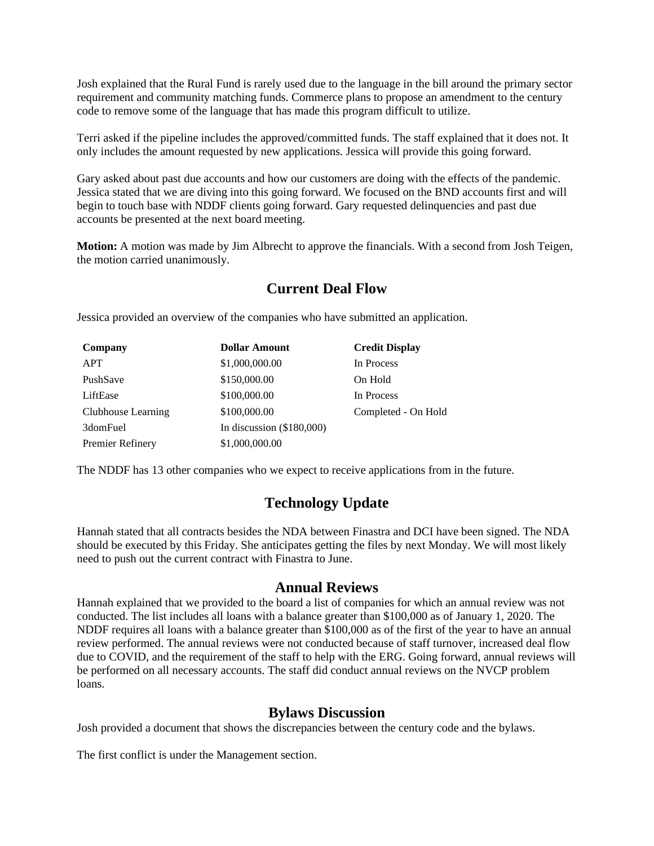Josh explained that the Rural Fund is rarely used due to the language in the bill around the primary sector requirement and community matching funds. Commerce plans to propose an amendment to the century code to remove some of the language that has made this program difficult to utilize.

Terri asked if the pipeline includes the approved/committed funds. The staff explained that it does not. It only includes the amount requested by new applications. Jessica will provide this going forward.

Gary asked about past due accounts and how our customers are doing with the effects of the pandemic. Jessica stated that we are diving into this going forward. We focused on the BND accounts first and will begin to touch base with NDDF clients going forward. Gary requested delinquencies and past due accounts be presented at the next board meeting.

**Motion:** A motion was made by Jim Albrecht to approve the financials. With a second from Josh Teigen, the motion carried unanimously.

# **Current Deal Flow**

Jessica provided an overview of the companies who have submitted an application.

| Company            | <b>Dollar Amount</b>        | <b>Credit Display</b> |
|--------------------|-----------------------------|-----------------------|
| <b>APT</b>         | \$1,000,000.00              | In Process            |
| PushSave           | \$150,000.00                | On Hold               |
| LiftEase           | \$100,000.00                | In Process            |
| Clubhouse Learning | \$100,000.00                | Completed - On Hold   |
| 3domFuel           | In discussion $(\$180,000)$ |                       |
| Premier Refinery   | \$1,000,000.00              |                       |

The NDDF has 13 other companies who we expect to receive applications from in the future.

# **Technology Update**

Hannah stated that all contracts besides the NDA between Finastra and DCI have been signed. The NDA should be executed by this Friday. She anticipates getting the files by next Monday. We will most likely need to push out the current contract with Finastra to June.

### **Annual Reviews**

Hannah explained that we provided to the board a list of companies for which an annual review was not conducted. The list includes all loans with a balance greater than \$100,000 as of January 1, 2020. The NDDF requires all loans with a balance greater than \$100,000 as of the first of the year to have an annual review performed. The annual reviews were not conducted because of staff turnover, increased deal flow due to COVID, and the requirement of the staff to help with the ERG. Going forward, annual reviews will be performed on all necessary accounts. The staff did conduct annual reviews on the NVCP problem loans.

# **Bylaws Discussion**

Josh provided a document that shows the discrepancies between the century code and the bylaws.

The first conflict is under the Management section.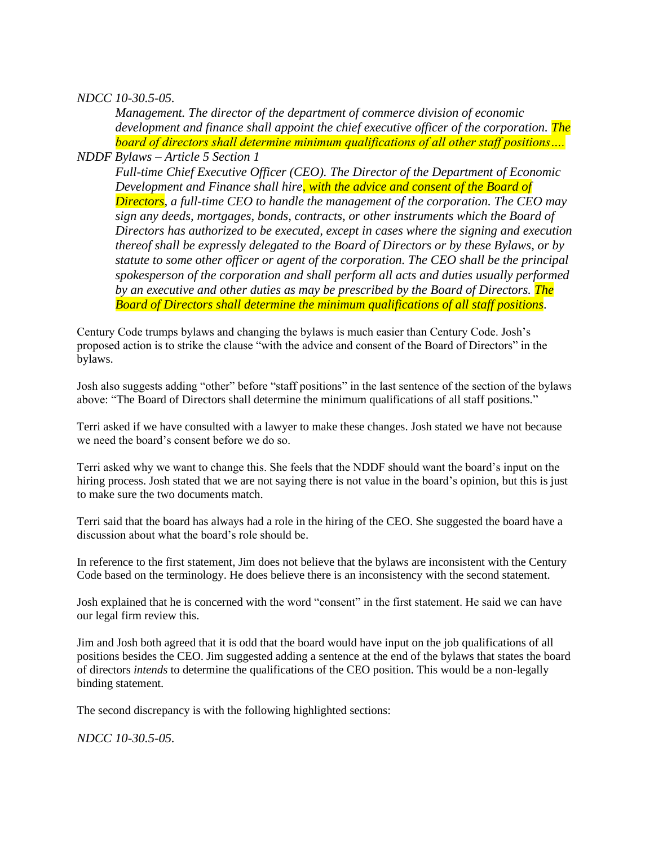### *NDCC 10-30.5-05.*

*Management. The director of the department of commerce division of economic development and finance shall appoint the chief executive officer of the corporation. The board of directors shall determine minimum qualifications of all other staff positions….*

*NDDF Bylaws – Article 5 Section 1*

*Full-time Chief Executive Officer (CEO). The Director of the Department of Economic Development and Finance shall hire<mark>, with the advice and consent of the Board of</mark> Directors, a full-time CEO to handle the management of the corporation. The CEO may sign any deeds, mortgages, bonds, contracts, or other instruments which the Board of Directors has authorized to be executed, except in cases where the signing and execution thereof shall be expressly delegated to the Board of Directors or by these Bylaws, or by statute to some other officer or agent of the corporation. The CEO shall be the principal spokesperson of the corporation and shall perform all acts and duties usually performed by an executive and other duties as may be prescribed by the Board of Directors. The Board of Directors shall determine the minimum qualifications of all staff positions.*

Century Code trumps bylaws and changing the bylaws is much easier than Century Code. Josh's proposed action is to strike the clause "with the advice and consent of the Board of Directors" in the bylaws.

Josh also suggests adding "other" before "staff positions" in the last sentence of the section of the bylaws above: "The Board of Directors shall determine the minimum qualifications of all staff positions."

Terri asked if we have consulted with a lawyer to make these changes. Josh stated we have not because we need the board's consent before we do so.

Terri asked why we want to change this. She feels that the NDDF should want the board's input on the hiring process. Josh stated that we are not saying there is not value in the board's opinion, but this is just to make sure the two documents match.

Terri said that the board has always had a role in the hiring of the CEO. She suggested the board have a discussion about what the board's role should be.

In reference to the first statement, Jim does not believe that the bylaws are inconsistent with the Century Code based on the terminology. He does believe there is an inconsistency with the second statement.

Josh explained that he is concerned with the word "consent" in the first statement. He said we can have our legal firm review this.

Jim and Josh both agreed that it is odd that the board would have input on the job qualifications of all positions besides the CEO. Jim suggested adding a sentence at the end of the bylaws that states the board of directors *intends* to determine the qualifications of the CEO position. This would be a non-legally binding statement.

The second discrepancy is with the following highlighted sections:

*NDCC 10-30.5-05.*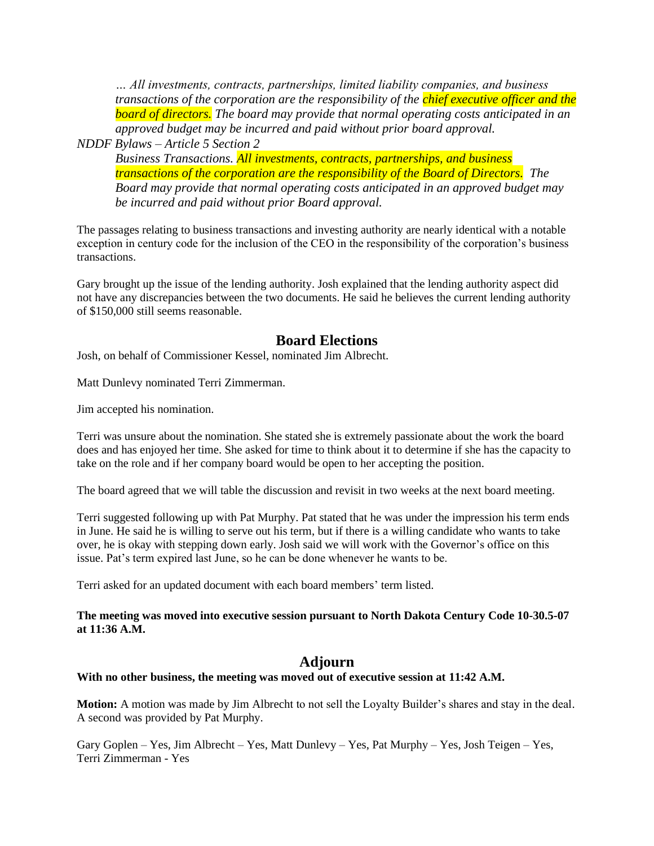*… All investments, contracts, partnerships, limited liability companies, and business transactions of the corporation are the responsibility of the chief executive officer and the board of directors. The board may provide that normal operating costs anticipated in an approved budget may be incurred and paid without prior board approval.*

*NDDF Bylaws – Article 5 Section 2*

*Business Transactions. All investments, contracts, partnerships, and business transactions of the corporation are the responsibility of the Board of Directors. The Board may provide that normal operating costs anticipated in an approved budget may be incurred and paid without prior Board approval.* 

The passages relating to business transactions and investing authority are nearly identical with a notable exception in century code for the inclusion of the CEO in the responsibility of the corporation's business transactions.

Gary brought up the issue of the lending authority. Josh explained that the lending authority aspect did not have any discrepancies between the two documents. He said he believes the current lending authority of \$150,000 still seems reasonable.

## **Board Elections**

Josh, on behalf of Commissioner Kessel, nominated Jim Albrecht.

Matt Dunlevy nominated Terri Zimmerman.

Jim accepted his nomination.

Terri was unsure about the nomination. She stated she is extremely passionate about the work the board does and has enjoyed her time. She asked for time to think about it to determine if she has the capacity to take on the role and if her company board would be open to her accepting the position.

The board agreed that we will table the discussion and revisit in two weeks at the next board meeting.

Terri suggested following up with Pat Murphy. Pat stated that he was under the impression his term ends in June. He said he is willing to serve out his term, but if there is a willing candidate who wants to take over, he is okay with stepping down early. Josh said we will work with the Governor's office on this issue. Pat's term expired last June, so he can be done whenever he wants to be.

Terri asked for an updated document with each board members' term listed.

**The meeting was moved into executive session pursuant to North Dakota Century Code 10-30.5-07 at 11:36 A.M.**

## **Adjourn**

### **With no other business, the meeting was moved out of executive session at 11:42 A.M.**

**Motion:** A motion was made by Jim Albrecht to not sell the Loyalty Builder's shares and stay in the deal. A second was provided by Pat Murphy.

Gary Goplen – Yes, Jim Albrecht – Yes, Matt Dunlevy – Yes, Pat Murphy – Yes, Josh Teigen – Yes, Terri Zimmerman - Yes